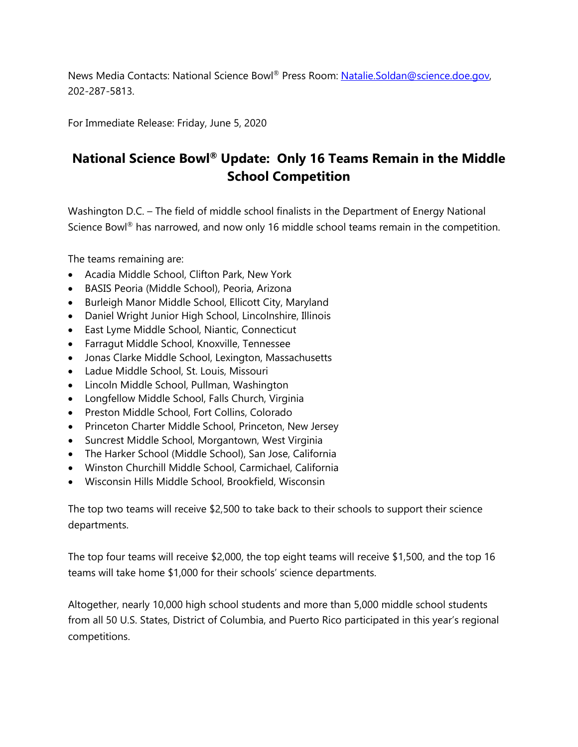News Media Contacts: National Science Bowl® Press Room: Natalie.Soldan@science.doe.gov, 202-287-5813.

For Immediate Release: Friday, June 5, 2020

## **National Science Bowl® Update: Only 16 Teams Remain in the Middle School Competition**

Washington D.C. – The field of middle school finalists in the Department of Energy National Science Bowl<sup>®</sup> has narrowed, and now only 16 middle school teams remain in the competition.

The teams remaining are:

- Acadia Middle School, Clifton Park, New York
- BASIS Peoria (Middle School), Peoria, Arizona
- Burleigh Manor Middle School, Ellicott City, Maryland
- Daniel Wright Junior High School, Lincolnshire, Illinois
- East Lyme Middle School, Niantic, Connecticut
- Farragut Middle School, Knoxville, Tennessee
- Jonas Clarke Middle School, Lexington, Massachusetts
- Ladue Middle School, St. Louis, Missouri
- Lincoln Middle School, Pullman, Washington
- Longfellow Middle School, Falls Church, Virginia
- Preston Middle School, Fort Collins, Colorado
- Princeton Charter Middle School, Princeton, New Jersey
- Suncrest Middle School, Morgantown, West Virginia
- The Harker School (Middle School), San Jose, California
- Winston Churchill Middle School, Carmichael, California
- Wisconsin Hills Middle School, Brookfield, Wisconsin

The top two teams will receive \$2,500 to take back to their schools to support their science departments.

The top four teams will receive \$2,000, the top eight teams will receive \$1,500, and the top 16 teams will take home \$1,000 for their schools' science departments.

Altogether, nearly 10,000 high school students and more than 5,000 middle school students from all 50 U.S. States, District of Columbia, and Puerto Rico participated in this year's regional competitions.